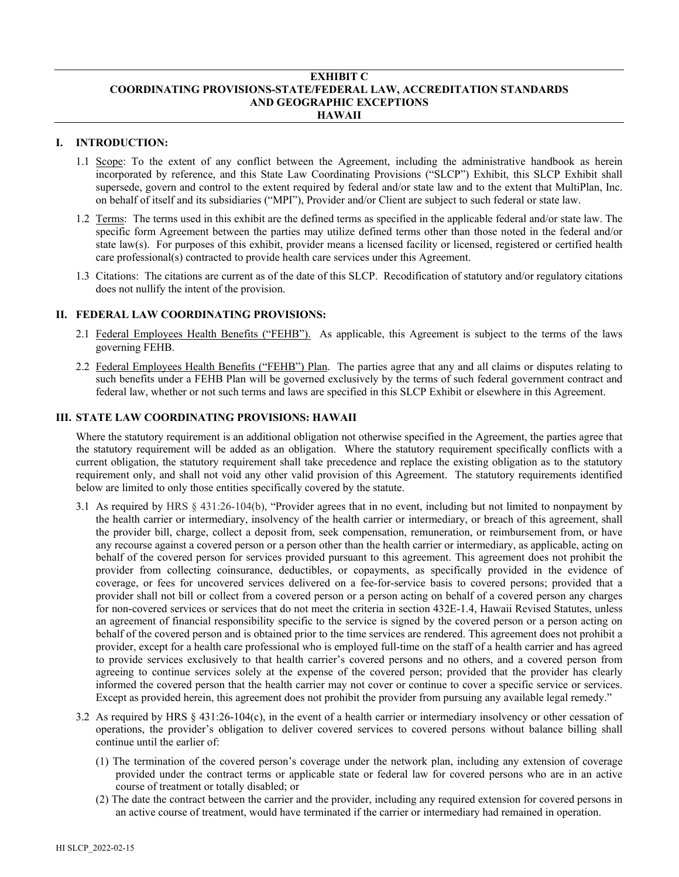#### **EXHIBIT C COORDINATING PROVISIONS-STATE/FEDERAL LAW, ACCREDITATION STANDARDS AND GEOGRAPHIC EXCEPTIONS HAWAII**

## **I. INTRODUCTION:**

- 1.1 Scope: To the extent of any conflict between the Agreement, including the administrative handbook as herein incorporated by reference, and this State Law Coordinating Provisions ("SLCP") Exhibit, this SLCP Exhibit shall supersede, govern and control to the extent required by federal and/or state law and to the extent that MultiPlan, Inc. on behalf of itself and its subsidiaries ("MPI"), Provider and/or Client are subject to such federal or state law.
- 1.2 Terms: The terms used in this exhibit are the defined terms as specified in the applicable federal and/or state law. The specific form Agreement between the parties may utilize defined terms other than those noted in the federal and/or state law(s). For purposes of this exhibit, provider means a licensed facility or licensed, registered or certified health care professional(s) contracted to provide health care services under this Agreement.
- 1.3 Citations: The citations are current as of the date of this SLCP. Recodification of statutory and/or regulatory citations does not nullify the intent of the provision.

#### **II. FEDERAL LAW COORDINATING PROVISIONS:**

- 2.1 Federal Employees Health Benefits ("FEHB"). As applicable, this Agreement is subject to the terms of the laws governing FEHB.
- 2.2 Federal Employees Health Benefits ("FEHB") Plan. The parties agree that any and all claims or disputes relating to such benefits under a FEHB Plan will be governed exclusively by the terms of such federal government contract and federal law, whether or not such terms and laws are specified in this SLCP Exhibit or elsewhere in this Agreement.

## **III. STATE LAW COORDINATING PROVISIONS: HAWAII**

Where the statutory requirement is an additional obligation not otherwise specified in the Agreement, the parties agree that the statutory requirement will be added as an obligation. Where the statutory requirement specifically conflicts with a current obligation, the statutory requirement shall take precedence and replace the existing obligation as to the statutory requirement only, and shall not void any other valid provision of this Agreement. The statutory requirements identified below are limited to only those entities specifically covered by the statute.

- 3.1 As required by HRS § 431:26-104(b), "Provider agrees that in no event, including but not limited to nonpayment by the health carrier or intermediary, insolvency of the health carrier or intermediary, or breach of this agreement, shall the provider bill, charge, collect a deposit from, seek compensation, remuneration, or reimbursement from, or have any recourse against a covered person or a person other than the health carrier or intermediary, as applicable, acting on behalf of the covered person for services provided pursuant to this agreement. This agreement does not prohibit the provider from collecting coinsurance, deductibles, or copayments, as specifically provided in the evidence of coverage, or fees for uncovered services delivered on a fee-for-service basis to covered persons; provided that a provider shall not bill or collect from a covered person or a person acting on behalf of a covered person any charges for non-covered services or services that do not meet the criteria in section 432E-1.4, Hawaii Revised Statutes, unless an agreement of financial responsibility specific to the service is signed by the covered person or a person acting on behalf of the covered person and is obtained prior to the time services are rendered. This agreement does not prohibit a provider, except for a health care professional who is employed full-time on the staff of a health carrier and has agreed to provide services exclusively to that health carrier's covered persons and no others, and a covered person from agreeing to continue services solely at the expense of the covered person; provided that the provider has clearly informed the covered person that the health carrier may not cover or continue to cover a specific service or services. Except as provided herein, this agreement does not prohibit the provider from pursuing any available legal remedy."
- 3.2 As required by HRS § 431:26-104(c), in the event of a health carrier or intermediary insolvency or other cessation of operations, the provider's obligation to deliver covered services to covered persons without balance billing shall continue until the earlier of:
	- (1) The termination of the covered person's coverage under the network plan, including any extension of coverage provided under the contract terms or applicable state or federal law for covered persons who are in an active course of treatment or totally disabled; or
	- (2) The date the contract between the carrier and the provider, including any required extension for covered persons in an active course of treatment, would have terminated if the carrier or intermediary had remained in operation.